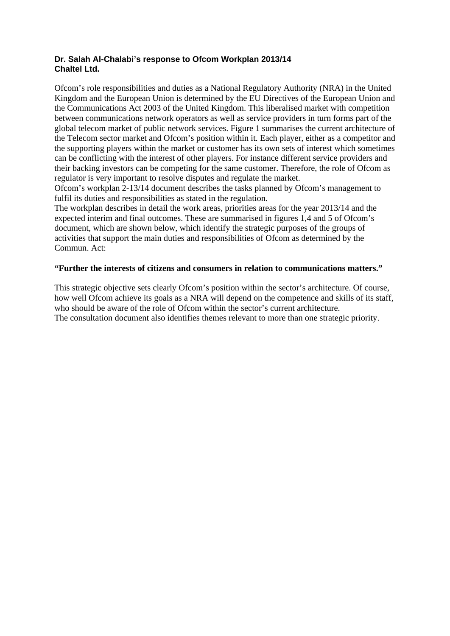## **Dr. Salah Al-Chalabi's response to Ofcom Workplan 2013/14 Chaltel Ltd.**

Ofcom's role responsibilities and duties as a National Regulatory Authority (NRA) in the United Kingdom and the European Union is determined by the EU Directives of the European Union and the Communications Act 2003 of the United Kingdom. This liberalised market with competition between communications network operators as well as service providers in turn forms part of the global telecom market of public network services. Figure 1 summarises the current architecture of the Telecom sector market and Ofcom's position within it. Each player, either as a competitor and the supporting players within the market or customer has its own sets of interest which sometimes can be conflicting with the interest of other players. For instance different service providers and their backing investors can be competing for the same customer. Therefore, the role of Ofcom as regulator is very important to resolve disputes and regulate the market.

Ofcom's workplan 2-13/14 document describes the tasks planned by Ofcom's management to fulfil its duties and responsibilities as stated in the regulation.

The workplan describes in detail the work areas, priorities areas for the year 2013/14 and the expected interim and final outcomes. These are summarised in figures 1,4 and 5 of Ofcom's document, which are shown below, which identify the strategic purposes of the groups of activities that support the main duties and responsibilities of Ofcom as determined by the Commun. Act:

## **"Further the interests of citizens and consumers in relation to communications matters."**

This strategic objective sets clearly Ofcom's position within the sector's architecture. Of course, how well Ofcom achieve its goals as a NRA will depend on the competence and skills of its staff, who should be aware of the role of Ofcom within the sector's current architecture. The consultation document also identifies themes relevant to more than one strategic priority.